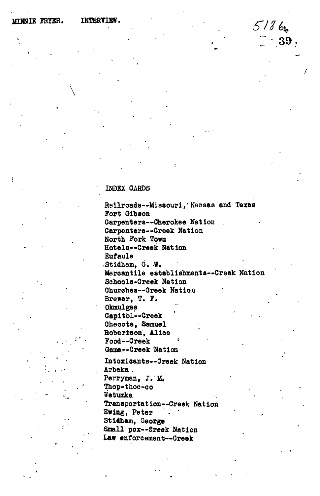## **INDEX CARDS**

**Railroads—Missouri,' Kansas and Texas Fort Gibson Carpenters—Cherokee Nation . Carpenters—Creek Nation North Fork Town Hotels—"Creek Nation Eufaula ,Stidham, G. W. Mercantile establishments—Creek Nation Schools-Creek Nation Churches—Creek Nation Brewer, T. F. Okmulgee** Capitol--Creek **Oheoote, Samuel** Robertson, Alice<br>Food==Creek **Food—Creek Gamer-Creek Nation Intoxicants—Creek Nation Arbeka . Perryman, J.M, Thop-thoc-co Wetumka Transportation—Creek Nation** Ewing, Peter Stidham, George<br>Small pox--Creek Nation Law enforcement--Creek **Law enforcement—Creek**

**57/**

**7 39**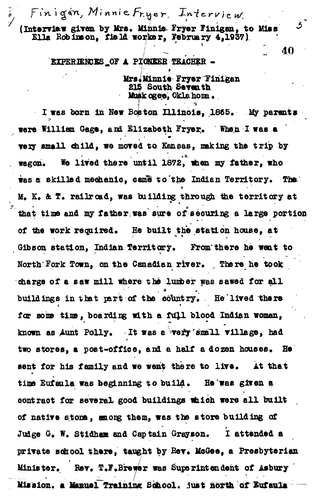$\delta$ , Finigin, Minnie

(Interview given by Mrs. Minnie Fryer Finigan, to Miss **Ella Bobineon, field worker, February 4,1937)**

> **' ' ' ' EXPERIENCES OF A PICNEER TEACHER ••**

**:**

**/ \* Mrs i Minnie Fryer Finigen South Seventh Musk ogee, Oklahoma.** 

 $\boldsymbol{3}^{"}$ 

40

I was born in New Boston Illinois, 1865. My parents • • > . *,*  **were William Gage, and Elizabeth Fryer.\* When I was e very small child, we moved to Kansas, making the trip by** wagon. We lived there until 1872, when my father, who was a skilled mechanic, came to the Indian Territory. The M. K. & T. railroad, was building through the territory at **that time and my fattier was sure of securing a large portion** of the work required. He built the station house, at **Gibson station, Indian Territory, From'there he went to** North Fork Town, on the Canadian river. There he took charge of a saw mill where the lumber was sawed for all buildings in that part of the country. He'lived there **far SOUB time, boarding with a ftfj.1 blood Indian woman,** known as Aunt Polly. It was a very small village, had two stores, a post-office, and a half a dozen houses. He **sent for his family and we went there to live\*** *At* **that** time Eufaula was beginning to build. He'was given a contract for several good buildings which were all built **of native stone, among them, was the store building of** Judge G. W. Stidham and Captain Grayson. I attended a private school there, taught by Rev. MoGee, a Presbyterian Minister. Rev. T.F.Brewer was Superintendent of Asbury Mission. a Manuel Training School. lust north of Bufaula —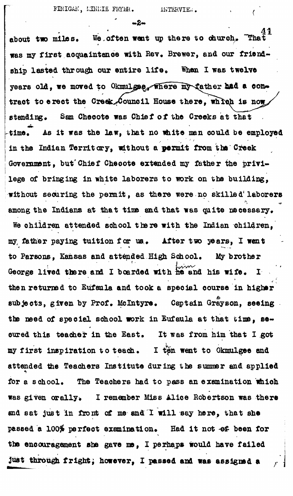**' -2 -**

about two miles. We often went up there to church, "Tha **was my first acquaintance with Rev. Brewer, and our friend**ship lasted through our entire life. When I was twelve years old, we moved to Okmulgae, where my father had a contract to erect the Creek<sub>s</sub>Council House there, which is now **e tend ing. Sam Cheoote was Chief of the Creeks at that** time. As it was the law, that no white man could be employed **in the Indian Territory, without a permit from tha Creek Government, but'Chief Cheoote extended my father the privilege of bringing in white laborers to work on the building, without securing the permit, as there were no skillsd\* laborers** among the Indians at that time and that was quite necessary. **We children attended school there with the Indian children, my, father paying tuition for us.. After two** *ye&rs,* **I went to Parsons, Kansas and attended High School\* My brother** George lived there and I boarded with he and his wife. I **then returned to Eufaule and took a special course in higher** subjects, given by Prof. McIntyre. Captain Grayson, seeing **the need of special school work in Eufaula at that time, se~** cured this teacher in the East. It was from him that I got my first inspiration to teach. I ten went to Okmulgee and attended the Teachers Institute during the summer and applied for a school. The Teachers had to pass an examination which **was given orally. I remember Miss Alice Robertson was there** and sat just in fromt of me and I will say here, that she passed a 100% perfect examination. Had it not of been for the encouragement she gave me, I perhaps would have failed just through fright; however, I passed and was assigned a **. i**

**through fright, however.** *X* **passed and was assigned a** *r* **j**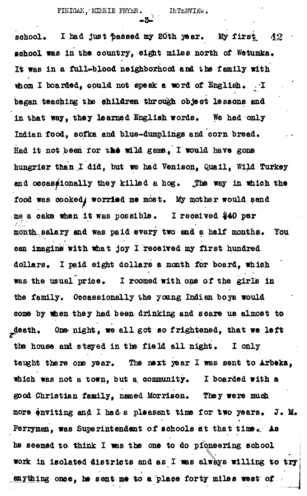-\*; • • .

**sohool. I had just passed my 80th year. My first,** 42 school was in the country, eight miles north of Wetumka. **It was in a full^blood neighborhood and the family with** whom I boarded, could not speak a word of English. I **began teaching the children through object lessons and in that way, they learned English words. We had only Indian food, sofka and blue-dumplings and corn bread. Had it not been for the wild game., I would have gone** hungrier than I did, but we had Venison, Quail, Wild Turkey **end occasionally they killed a hog. jThe way in which the** food was cooked, worried me most. My mother would send me a cake when it was possible. I received \$40 per month salary and was paid every two and a half months. You **can imagine with what joy I received my first hundred dollars\* I paid eight dollars a month for board, which** was the usual price. I roomed with one of the girls in the family. Occassionally the young Indian boys would **come by when they had been drinking and scare us almost to death. One- night, we al l got so frightened, that we left** the house and stayed in the field all night. I only taught there one year. The next year I was sent to Arbeka, which was not a town, but a community. I boarded with a good Christian family, named Morrison. They were much more enviting and I had a pleasant time for two years. J. M. Perryman, was Superintendent of schools at that time. As **he seemed to think I was the one to do pioneering school** work in isolated districts and as I was always willing to try **withing once, he sent me to a place forty miles west of** 

**anything once, he sent me to a place forty miles west of**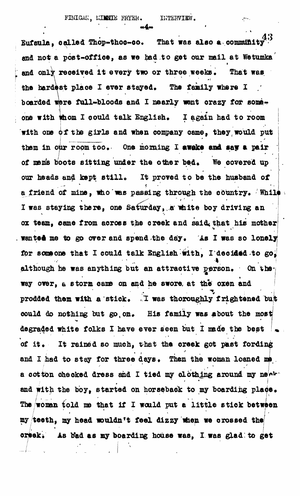43 Eufaula, oailed Thop-thoo-oo, That was also **a** community and only received it every two or three weeks. That was  $\epsilon$  the hardest place I ever staved. The family where I  $\epsilon$  $\frac{1}{\sqrt{2}}$  ever stayed  $\frac{1}{\sqrt{2}}$  . The family where  $\frac{1}{\sqrt{2}}$  . The family where  $\frac{1}{\sqrt{2}}$ boarded were full-bloods and I nearly went orazy for some. one with whom I could talk English. I again had to room with one of the girls and when company oame, they, would put them in our room too. One morning I awake and say a pair of men's boots sitting under the other bed. We covered up our heads and kept still. It proved to be the husband of a friend of mine, who was passing through the country. While I was staying there, one Saturday, a white boy driving an ox team, came from across the creek and said that his mother wanted me to go over and spend the day. As I was so lonely for someone that I could talk English with, I decided to go. although he was anything but an attractive person. On the way over, a storm came on and he swore at the oxen and prodded them with a stick. T was thoroughly frightened bu could do nothing but go on. His family was about the most degraded white folks I have ever seen but I made the best of it. It rained so much, that the creek got past fording and I had to stay for three days. Then the woman loaned me. a cotton checked dress and I tied my clothing around my new a cotton checked dress and I tied my clothing around my and with the boy, started on horseback to my boarding place. **/"- ' • • ' ' •• \* \* r**  $T_{\text{max}}$  ,  $\frac{1}{2}$  woman to  $\frac{1}{2}$  would put a little between  $\frac{1}{2}$ my teeth, my head wouldn't feel dizzy when we crossed the creek. As bad as my boarding house was, I was glad to get creek  $\alpha$  as my boarding house was glad: to get as  $\alpha$  was glad: to get  $\alpha$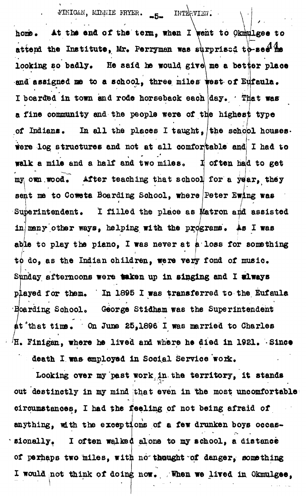## FINIGAN, MINNIE FRYER. 5- INTERVIEW.

**gee to**  $\mathcal{L} \left( \mathcal{L} \right)$  -defined by the set of  $\mathcal{L} \left( \mathcal{L} \right)$ **home**. At the end of the teim<sup>3</sup> anen I sent to our attend the Institute, Mr. Perryman was surprised to-see<sup>1</sup> in looking so badly. He said he would give me a better place and assigned me to a school, three miles west of Eufaula. **I boarded in town and rode horseback each day\* ' That was** a fine community and the people were of the highes<sup>t</sup> type **of Indians, In all the places I taught, the school houseswere log structures and not at all comfor kable and I had to walk a mile and a half and two mile8<sup>0</sup> often had to get** my own wood. After teaching that school for a year, they **sent ma to Coweta Boarding School, where Peter Swing was** Superintendent. I filled the place as **Matron and assisted in many other ways, helping with the programs. As I was abie to play the piano, I was never at a loss for something** to do, as the Indian children, were very fond of music. **Sunday afternoons were taken up in singing and I wlweys** played for them. In 1895 I was transferred to the Eufaula **Hoarding School.** George Stidham was the Superintendent **t'that tins\* On June 25,1896 I was married to Charles** H. Finigan, where he lived and where he died in 1921. Since

death I was employed in Social Service work.

**Looking over my past work in the territory, it stands out destinctly in my mind that even in the most uncomfortable** *"* **i circumstances, I bad the feeling of not being afraid of anything, with the exceptions of a few drunken boys occae- - sionally. I often waited alone to my school, a distance of perhaps two miles, with no thought of danger, something** I would not think of doing now. When we lived in Okmulgee,